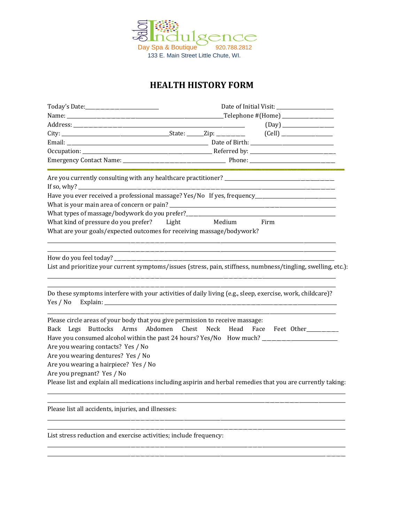

## **HEALTH HISTORY FORM**

| Have you ever received a professional massage? Yes/No If yes, frequency____________________________                                                                                                                                                                                                                                                                                                                                                                                                                         |                |  |
|-----------------------------------------------------------------------------------------------------------------------------------------------------------------------------------------------------------------------------------------------------------------------------------------------------------------------------------------------------------------------------------------------------------------------------------------------------------------------------------------------------------------------------|----------------|--|
|                                                                                                                                                                                                                                                                                                                                                                                                                                                                                                                             |                |  |
|                                                                                                                                                                                                                                                                                                                                                                                                                                                                                                                             |                |  |
| What kind of pressure do you prefer? Light                                                                                                                                                                                                                                                                                                                                                                                                                                                                                  | Medium<br>Firm |  |
| What are your goals/expected outcomes for receiving massage/bodywork?                                                                                                                                                                                                                                                                                                                                                                                                                                                       |                |  |
| List and prioritize your current symptoms/issues (stress, pain, stiffness, numbness/tingling, swelling, etc.):                                                                                                                                                                                                                                                                                                                                                                                                              |                |  |
| Do these symptoms interfere with your activities of daily living (e.g., sleep, exercise, work, childcare)?<br>Yes / No Explain:                                                                                                                                                                                                                                                                                                                                                                                             |                |  |
| Please circle areas of your body that you give permission to receive massage:<br>Back Legs Buttocks Arms Abdomen Chest Neck Head Face Feet-Other<br>Have you consumed alcohol within the past 24 hours? Yes/No How much? _______________________________<br>Are you wearing contacts? Yes / No<br>Are you wearing dentures? Yes / No<br>Are you wearing a hairpiece? Yes / No<br>Are you pregnant? Yes / No<br>Please list and explain all medications including aspirin and herbal remedies that you are currently taking: |                |  |
| Please list all accidents, injuries, and illnesses:                                                                                                                                                                                                                                                                                                                                                                                                                                                                         |                |  |

\_\_\_\_\_\_\_\_\_\_\_\_\_\_\_\_\_\_\_\_\_\_\_\_\_\_\_\_\_\_\_\_\_\_\_\_\_\_\_\_\_\_\_\_\_\_\_\_\_\_\_\_\_\_\_\_\_\_\_\_\_\_\_\_\_\_\_\_\_\_\_\_\_\_\_\_\_\_\_\_\_\_\_\_\_\_\_\_\_\_\_\_\_\_\_\_\_\_\_\_\_\_\_\_\_\_\_\_\_\_\_\_\_\_\_\_\_\_\_\_\_\_

\_\_\_\_\_\_\_\_\_\_\_\_\_\_\_\_\_\_\_\_\_\_\_\_\_\_\_\_\_\_\_\_\_\_\_\_\_\_\_\_\_\_\_\_\_\_\_\_\_\_\_\_\_\_\_\_\_\_\_\_\_\_\_\_\_\_\_\_\_\_\_\_\_\_\_\_\_\_\_\_\_\_\_\_\_\_\_\_\_\_\_\_\_\_\_\_\_\_\_\_\_\_\_\_\_\_\_\_\_\_\_\_\_\_\_\_\_\_\_\_\_\_ \_\_\_\_\_\_\_\_\_\_\_\_\_\_\_\_\_\_\_\_\_\_\_\_\_\_\_\_\_\_\_\_\_\_\_\_\_\_\_\_\_\_\_\_\_\_\_\_\_\_\_\_\_\_\_\_\_\_\_\_\_\_\_\_\_\_\_\_\_\_\_\_\_\_\_\_\_\_\_\_\_\_\_\_\_\_\_\_\_\_\_\_\_\_\_\_\_\_\_\_\_\_\_\_\_\_\_\_\_\_\_\_\_\_\_\_\_\_\_\_\_\_

List stress reduction and exercise activities; include frequency: